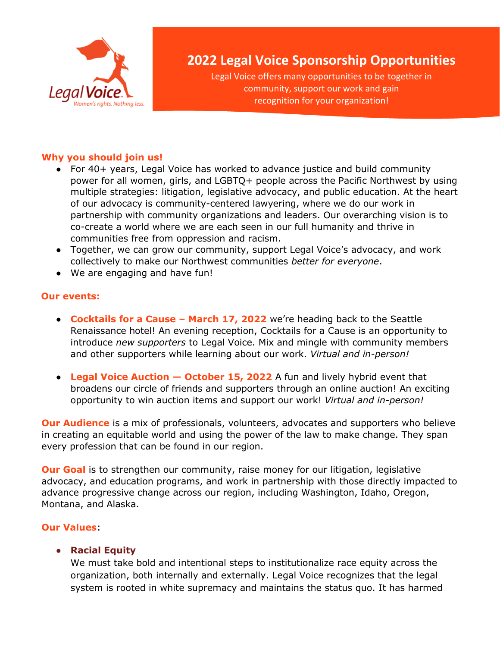

# **2022 Legal Voice Sponsorship Opportunities**

Legal Voice offers many opportunities to be together in community, support our work and gain recognition for your organization!

#### **Why you should join us!**

- For 40+ years, Legal Voice has worked to advance justice and build community power for all women, girls, and LGBTQ+ people across the Pacific Northwest by using multiple strategies: litigation, legislative advocacy, and public education. At the heart of our advocacy is community-centered lawyering, where we do our work in partnership with community organizations and leaders. Our overarching vision is to co-create a world where we are each seen in our full humanity and thrive in communities free from oppression and racism.
- Together, we can grow our community, support Legal Voice's advocacy, and work collectively to make our Northwest communities *better for everyone*.
- We are engaging and have fun!

#### **Our events:**

- **Cocktails for a Cause – March 17, 2022** we're heading back to the Seattle Renaissance hotel! An evening reception, Cocktails for a Cause is an opportunity to introduce *new supporters* to Legal Voice. Mix and mingle with community members and other supporters while learning about our work. *Virtual and in-person!*
- **Legal Voice Auction — October 15, 2022** A fun and lively hybrid event that broadens our circle of friends and supporters through an online auction! An exciting opportunity to win auction items and support our work! *Virtual and in-person!*

**Our Audience** is a mix of professionals, volunteers, advocates and supporters who believe in creating an equitable world and using the power of the law to make change. They span every profession that can be found in our region.

**Our Goal** is to strengthen our community, raise money for our litigation, legislative advocacy, and education programs, and work in partnership with those directly impacted to advance progressive change across our region, including Washington, Idaho, Oregon, Montana, and Alaska.

## **Our Values**:

## ● **Racial Equity**

We must take bold and intentional steps to institutionalize race equity across the organization, both internally and externally. Legal Voice recognizes that the legal system is rooted in white supremacy and maintains the status quo. It has harmed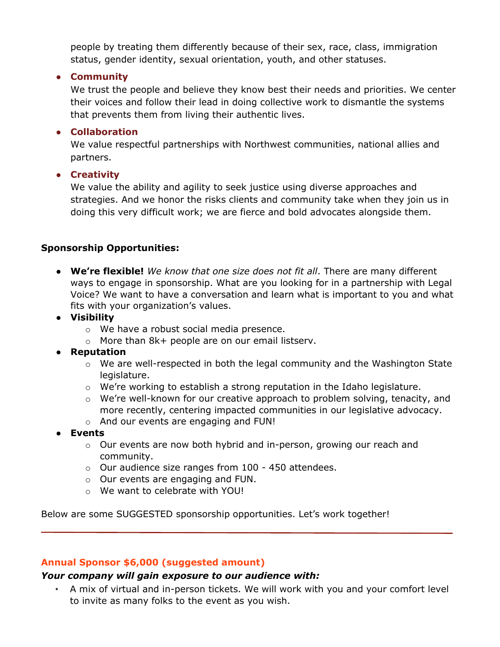people by treating them differently because of their sex, race, class, immigration status, gender identity, sexual orientation, youth, and other statuses.

## ● **Community**

We trust the people and believe they know best their needs and priorities. We center their voices and follow their lead in doing collective work to dismantle the systems that prevents them from living their authentic lives.

## ● **Collaboration**

We value respectful partnerships with Northwest communities, national allies and partners.

## ● **Creativity**

We value the ability and agility to seek justice using diverse approaches and strategies. And we honor the risks clients and community take when they join us in doing this very difficult work; we are fierce and bold advocates alongside them.

# **Sponsorship Opportunities:**

● **We're flexible!** *We know that one size does not fit all*. There are many different ways to engage in sponsorship. What are you looking for in a partnership with Legal Voice? We want to have a conversation and learn what is important to you and what fits with your organization's values.

## ● **Visibility**

- o We have a robust social media presence.
- $\circ$  More than 8k+ people are on our email listserv.

# ● **Reputation**

- o We are well-respected in both the legal community and the Washington State legislature.
- $\circ$  We're working to establish a strong reputation in the Idaho legislature.
- $\circ$  We're well-known for our creative approach to problem solving, tenacity, and more recently, centering impacted communities in our legislative advocacy.
- o And our events are engaging and FUN!
- **Events**
	- o Our events are now both hybrid and in-person, growing our reach and community.
	- o Our audience size ranges from 100 450 attendees.
	- o Our events are engaging and FUN.
	- o We want to celebrate with YOU!

Below are some SUGGESTED sponsorship opportunities. Let's work together!

## **Annual Sponsor \$6,000 (suggested amount)**

## *Your company will gain exposure to our audience with:*

• A mix of virtual and in-person tickets. We will work with you and your comfort level to invite as many folks to the event as you wish.